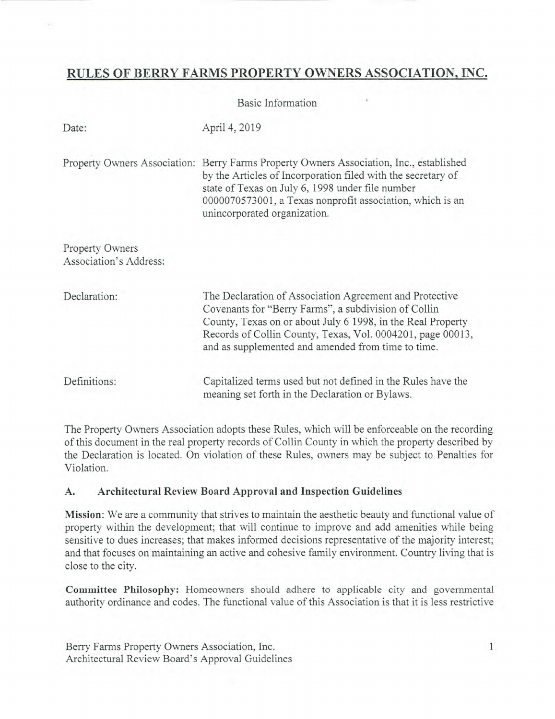# **RULES OF BERRY FARMS PROPERTY** OWNERS ASSOCIATION, INC.

Basic Information

| Date:                                     | April 4, 2019                                                                                                                                                                                                                                                                                      |
|-------------------------------------------|----------------------------------------------------------------------------------------------------------------------------------------------------------------------------------------------------------------------------------------------------------------------------------------------------|
| Property Owners Association:              | Berry Farms Property Owners Association, Inc., established<br>by the Articles of Incorporation filed with the secretary of<br>state of Texas on July 6, 1998 under file number<br>0000070573001, a Texas nonprofit association, which is an<br>unincorporated organization.                        |
| Property Owners<br>Association's Address: |                                                                                                                                                                                                                                                                                                    |
| Declaration:                              | The Declaration of Association Agreement and Protective<br>Covenants for "Berry Farms", a subdivision of Collin<br>County, Texas on or about July 6 1998, in the Real Property<br>Records of Collin County, Texas, Vol. 0004201, page 00013,<br>and as supplemented and amended from time to time. |
| Definitions:                              | Capitalized terms used but not defined in the Rules have the<br>meaning set forth in the Declaration or Bylaws.                                                                                                                                                                                    |

The Property Owners Association adopts these Rules, which will be enforceable on the recording of this document in the real property records of Collin County in which the property described by the Declaration is located. On violation of these Rules, owners may be subject to Penalties for Violation.

# **A. Architectural Review Board Approval and Inspection Guidelines**

**Mission:** We are a community that strives to maintain the aesthetic beauty and functional value of property within the development; that will continue to improve and add amenities while being sensitive to dues increases; that makes informed decisions representative of the majority interest; and that focuses on maintaining an active and cohesive family environment. Country living that is close to the city.

**Committee Philosophy:** Homeowners should adhere to applicable city and governmental authority ordinance and codes. The functional value of this Association is that it is less restrictive

Berry Farms Property Owners Association, Inc. 1 Architectural Review Board's Approval Guidelines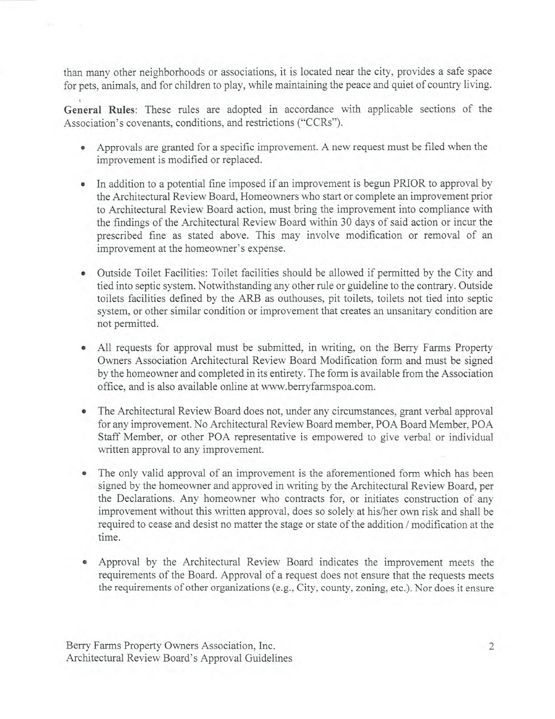than many other neighborhoods or associations, it is located near the city, provides a safe space for pets, animals, and for children to play, while maintaining the peace and quiet of country living.

**General Rules:** These rules are adopted in accordance with applicable sections of the Association's covenants, conditions, and restrictions ("CCRs").

- Approvals are granted for a specific improvement. A new request must be filed when the improvement is modified or replaced.
- In addition to a potential fine imposed if an improvement is begun PRIOR to approval by the Architectural Review Board, Homeowners who start or complete an improvement prior to Architectural Review Board action, must bring the improvement into compliance with the findings of the Architectural Review Board within 30 days of said action or incur the prescribed fine as stated above. This may involve modification or removal of an improvement at the homeowner's expense.
- Outside Toilet Facilities: Toilet facilities should be allowed if permitted by the City and tied into septic system. Notwithstanding any other rule or guideline to the contrary. Outside toilets facilities defined by the ARB as outhouses, pit toilets, toilets not tied into septic system, or other similar condition or improvement that creates an unsanitary condition are not permitted.
- All requests for approval must be submitted, in writing, on the Berry Farms Property Owners Association Architectural Review Board Modification form and must be signed by the homeowner and completed in its entirety. The form is available from the Association office, and is also available online at www.berryfarmspoa.com.
- The Architectural Review Board does not, under any circumstances, grant verbal approval for any improvement. No Architectural Review Board member, POA Board Member, POA Staff Member, or other POA representative is empowered to give verbal or individual written approval to any improvement.
- The only valid approval of an improvement is the aforementioned form which has been signed by the homeowner and approved in writing by the Architectural Review Board, per the Declarations. Any homeowner who contracts for, or initiates construction of any improvement without this written approval, does so solely at his/her own risk and shall be required to cease and desist no matter the stage or state of the addition / modification at the time.
- Approval by the Architectural Review Board indicates the improvement meets the requirements of the Board. Approval of a request does not ensure that the requests meets the requirements of other organizations (e.g., City, county, zoning, etc.). Nor does it ensure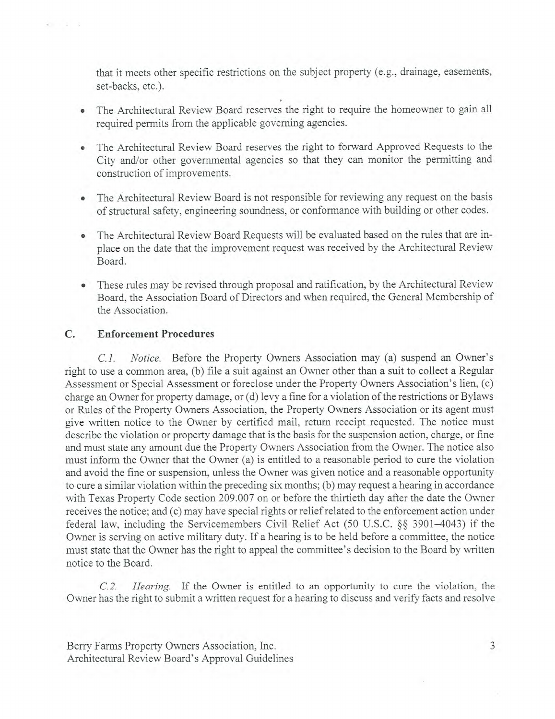that it meets other specific restrictions on the subject property (e.g., drainage, easements, set-backs, etc.).

- The Architectural Review Board reserves the right to require the homeowner to gain all required permits from the applicable governing agencies.
- The Architectural Review Board reserves the right to forward Approved Requests to the City and/or other governmental agencies so that they can monitor the permitting and construction of improvements.
- The Architectural Review Board is not responsible for reviewing any request on the basis of structural safety, engineering soundness, or conformance with building or other codes.
- The Architectural Review Board Requests will be evaluated based on the rules that are inplace on the date that the improvement request was received by the Architectural Review Board.
- These rules may be revised through proposal and ratification, by the Architectural Review Board, the Association Board of Directors and when required, the General Membership of the Association.

# **C. Enforcement Procedures**

 $-111$ 

*C.1. Notice.* Before the Property Owners Association may (a) suspend an Owner's right to use a common area, (b) file a suit against an Owner other than a suit to collect a Regular Assessment or Special Assessment or foreclose under the Property Owners Association's lien, (c) charge an Owner for property damage, or (d) levy a fine for a violation of the restrictions or Bylaws or Rules of the Property Owners Association, the Property Owners Association or its agent must give written notice to the Owner by certified mail, return receipt requested. The notice must describe the violation or property damage that is the basis for the suspension action, charge, or fine and must state any amount due the Property Owners Association from the Owner. The notice also must inform the Owner that the Owner (a) is entitled to a reasonable period to cure the violation and avoid the fine or suspension, unless the Owner was given notice and a reasonable opportunity to cure a similar violation within the preceding six months; (b) may request a hearing in accordance with Texas Property Code section 209.007 on or before the thirtieth day after the date the Owner receives the notice; and (c) may have special rights or relief related to the enforcement action under federal law, including the Servicemembers Civil Relief Act (50 U.S.C. §§ 3901-4043) if the Owner is serving on active military duty. If a hearing is to be held before a committee, the notice must state that the Owner has the right to appeal the committee's decision to the Board by written notice to the Board.

*C.2. Hearing.* If the Owner is entitled to an opportunity to cure the violation, the Owner has the right to submit a written request for a hearing to discuss and verify facts and resolve

Berry Farms Property Owners Association, Inc. 3 Architectural Review Board's Approval Guidelines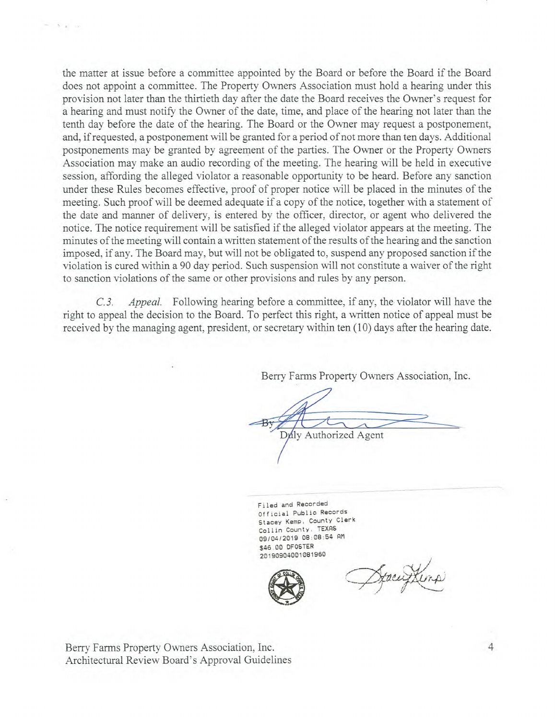the matter at issue before a committee appointed by the Board or before the Board if the Board does not appoint a committee. The Property Owners Association must hold a hearing under this provision not later than the thirtieth day after the date the Board receives the Owner's request for a hearing and must notify the Owner of the date, time, and place of the hearing not later than the tenth day before the date of the hearing. The Board or the Owner may request a postponement, and, if requested, a postponement will be granted for a period of not more than ten days. Additional postponements may be granted by agreement of the parties. The Owner or the Property Owners Association may make an audio recording of the meeting. The hearing will be held in executive session, affording the alleged violator a reasonable opportunity to be heard. Before any sanction under these Rules becomes effective, proof of proper notice will be placed in the minutes of the meeting. Such proof will be deemed adequate if a copy of the notice, together with a statement of the date and manner of delivery, is entered by the officer, director, or agent who delivered the notice. The notice requirement will be satisfied if the alleged violator appears at the meeting. The minutes of the meeting will contain a written statement of the results of the hearing and the sanction imposed, if any. The Board may, but will not be obligated to, suspend any proposed sanction if the violation is cured within a 90 day period. Such suspension will not constitute a waiver of the right to sanction violations of the same or other provisions and rules by any person.

*C.3. Appeal.* Following hearing before a committee, if any, the violator will have the right to appeal the decision to the Board. To perfect this right, a written notice of appeal must be received by the managing agent, president, or secretary within ten (10) days after the hearing date.

Berry Farms Property Owners Association, Inc.

Duly Authorized Agent

Filed and Recorded Official Public Records Stacey Kemp, County Clerk Collin County, TEXAS 09/04/2019 08:08:54 AM \$46.00 DFOSTER 20190904001081960



Deacuptimp

Berry Farms Property Owners Association, Inc. 4 Architectural Review Board's Approval Guidelines

 $= 12.5$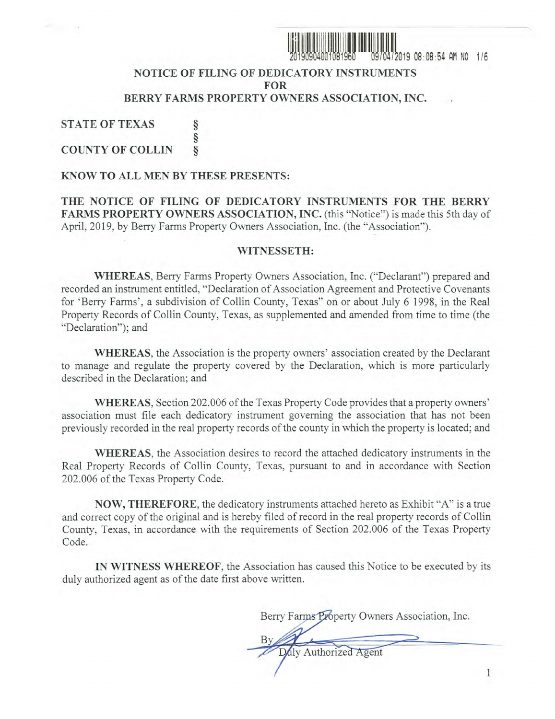

<sup>I</sup>ON 019 08:08:54 AM NO 1/6

## **NOTICE OF FILING OF DEDICATORY INSTRUMENTS FOR BERRY FARMS PROPERTY OWNERS ASSOCIATION, INC.**

**STATE OF TEXAS COUNTY OF COLLIN** 

#### **KNOW TO ALL MEN BY THESE PRESENTS:**

§ ş ş

**THE NOTICE OF FILING OF DEDICATORY INSTRUMENTS FOR THE BERRY**  FARMS PROPERTY OWNERS ASSOCIATION, INC. (this "Notice") is made this 5th day of April, 2019, by Berry Farms Property Owners Association, Inc. (the "Association").

#### **WITNESSETH:**

**WHEREAS,** Berry Farms Property Owners Association, Inc. ("Declarant") prepared and recorded an instrument entitled, "Declaration of Association Agreement and Protective Covenants for 'Berry Farms', a subdivision of Collin County, Texas" on or about July 6 1998, in the Real Property Records of Collin County, Texas, as supplemented and amended from time to time (the "Declaration"); and

**WHEREAS,** the Association is the property owners' association created by the Declarant to manage and regulate the property covered by the Declaration, which is more particularly described in the Declaration; and

**WHEREAS,** Section 202.006 of the Texas Property Code provides that a property owners' association must file each dedicatory instrument governing the association that has not been previously recorded in the real property records of the county in which the property is located; and

**WHEREAS,** the Association desires to record the attached dedicatory instruments in the Real Property Records of Collin County, Texas, pursuant to and in accordance with Section 202.006 of the Texas Property Code.

**NOW, THEREFORE,** the dedicatory instruments attached hereto as Exhibit "A" is a true and correct copy of the original and is hereby filed of record in the real property records of Collin County, Texas, in accordance with the requirements of Section 202.006 of the Texas Property Code.

**IN WITNESS WHEREOF,** the Association has caused this Notice to be executed by its duly authorized agent as of the date first above written.

Berry Farms Property Owners Association, Inc.

 $\overline{\phantom{0}}$ Daly Authorized Agent By